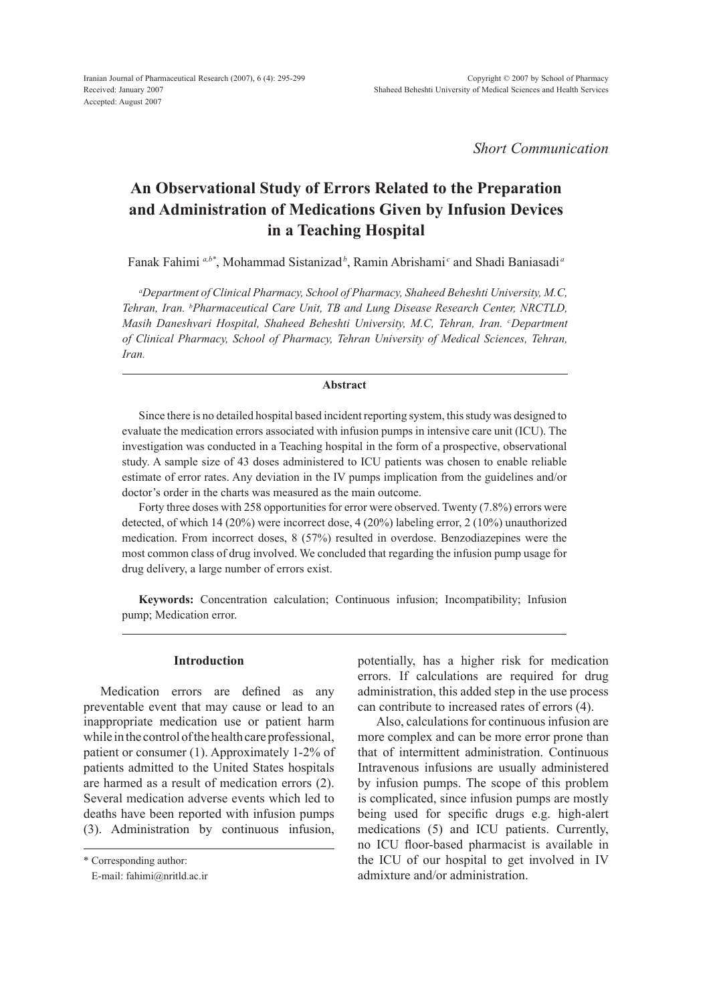*Short Communication*

# **An Observational Study of Errors Related to the Preparation and Administration of Medications Given by Infusion Devices in a Teaching Hospital**

Fanak Fahimi *a,b\**, Mohammad Sistanizad*<sup>b</sup>* , Ramin Abrishami *<sup>c</sup>* and Shadi Baniasadi *<sup>a</sup>*

*a Department of Clinical Pharmacy, School of Pharmacy, Shaheed Beheshti University, M.C, Tehran, Iran. b Pharmaceutical Care Unit, TB and Lung Disease Research Center, NRCTLD, Masih Daneshvari Hospital, Shaheed Beheshti University, M.C, Tehran, Iran. c Department of Clinical Pharmacy, School of Pharmacy, Tehran University of Medical Sciences, Tehran, Iran.*

# **Abstract**

Since there is no detailed hospital based incident reporting system, this study was designed to evaluate the medication errors associated with infusion pumps in intensive care unit (ICU). The investigation was conducted in a Teaching hospital in the form of a prospective, observational study. A sample size of 43 doses administered to ICU patients was chosen to enable reliable estimate of error rates. Any deviation in the IV pumps implication from the guidelines and/or doctor's order in the charts was measured as the main outcome.

Forty three doses with 258 opportunities for error were observed. Twenty (7.8%) errors were detected, of which 14 (20%) were incorrect dose, 4 (20%) labeling error, 2 (10%) unauthorized medication. From incorrect doses, 8 (57%) resulted in overdose. Benzodiazepines were the most common class of drug involved. We concluded that regarding the infusion pump usage for drug delivery, a large number of errors exist.

**Keywords:** Concentration calculation; Continuous infusion; Incompatibility; Infusion pump; Medication error.

### **Introduction**

Medication errors are defined as any preventable event that may cause or lead to an inappropriate medication use or patient harm while in the control of the health care professional, patient or consumer (1). Approximately 1-2% of patients admitted to the United States hospitals are harmed as a result of medication errors (2). Several medication adverse events which led to deaths have been reported with infusion pumps (3). Administration by continuous infusion, potentially, has a higher risk for medication errors. If calculations are required for drug administration, this added step in the use process can contribute to increased rates of errors (4).

 Also, calculations for continuous infusion are more complex and can be more error prone than that of intermittent administration. Continuous Intravenous infusions are usually administered by infusion pumps. The scope of this problem is complicated, since infusion pumps are mostly being used for specific drugs e.g. high-alert medications (5) and ICU patients. Currently, no ICU floor-based pharmacist is available in the ICU of our hospital to get involved in IV admixture and/or administration.

<sup>\*</sup> Corresponding author:

E-mail: fahimi@nritld.ac.ir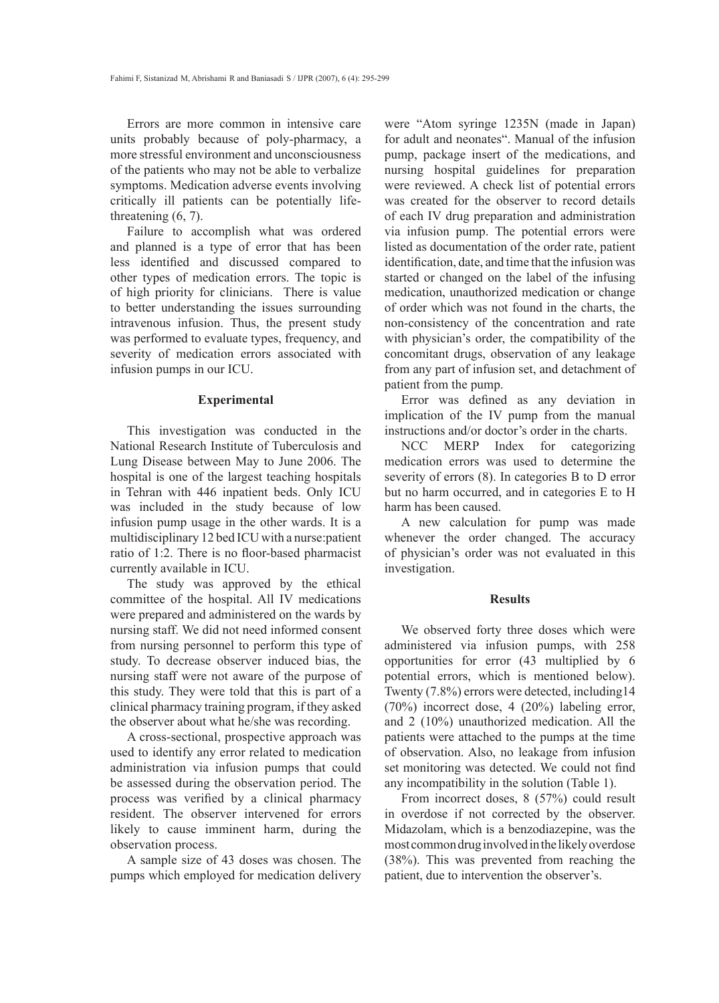Errors are more common in intensive care units probably because of poly-pharmacy, a more stressful environment and unconsciousness of the patients who may not be able to verbalize symptoms. Medication adverse events involving critically ill patients can be potentially lifethreatening (6, 7).

Failure to accomplish what was ordered and planned is a type of error that has been less identified and discussed compared to other types of medication errors. The topic is of high priority for clinicians. There is value to better understanding the issues surrounding intravenous infusion. Thus, the present study was performed to evaluate types, frequency, and severity of medication errors associated with infusion pumps in our ICU.

# **Experimental**

This investigation was conducted in the National Research Institute of Tuberculosis and Lung Disease between May to June 2006. The hospital is one of the largest teaching hospitals in Tehran with 446 inpatient beds. Only ICU was included in the study because of low infusion pump usage in the other wards. It is a multidisciplinary 12 bed ICU with a nurse:patient ratio of 1:2. There is no floor-based pharmacist currently available in ICU.

The study was approved by the ethical committee of the hospital. All IV medications were prepared and administered on the wards by nursing staff. We did not need informed consent from nursing personnel to perform this type of study. To decrease observer induced bias, the nursing staff were not aware of the purpose of this study. They were told that this is part of a clinical pharmacy training program, if they asked the observer about what he/she was recording.

A cross-sectional, prospective approach was used to identify any error related to medication administration via infusion pumps that could be assessed during the observation period. The process was verified by a clinical pharmacy resident. The observer intervened for errors likely to cause imminent harm, during the observation process.

A sample size of 43 doses was chosen. The pumps which employed for medication delivery were "Atom syringe 1235N (made in Japan) for adult and neonates". Manual of the infusion pump, package insert of the medications, and nursing hospital guidelines for preparation were reviewed. A check list of potential errors was created for the observer to record details of each IV drug preparation and administration via infusion pump. The potential errors were listed as documentation of the order rate, patient identification, date, and time that the infusion was started or changed on the label of the infusing medication, unauthorized medication or change of order which was not found in the charts, the non-consistency of the concentration and rate with physician's order, the compatibility of the concomitant drugs, observation of any leakage from any part of infusion set, and detachment of patient from the pump.

Error was defined as any deviation in implication of the IV pump from the manual instructions and/or doctor's order in the charts.

NCC MERP Index for categorizing medication errors was used to determine the severity of errors (8). In categories B to D error but no harm occurred, and in categories E to H harm has been caused.

A new calculation for pump was made whenever the order changed. The accuracy of physician's order was not evaluated in this investigation.

# **Results**

We observed forty three doses which were administered via infusion pumps, with 258 opportunities for error (43 multiplied by 6 potential errors, which is mentioned below). Twenty (7.8%) errors were detected, including14 (70%) incorrect dose, 4 (20%) labeling error, and 2 (10%) unauthorized medication. All the patients were attached to the pumps at the time of observation. Also, no leakage from infusion set monitoring was detected. We could not find any incompatibility in the solution (Table 1).

From incorrect doses, 8 (57%) could result in overdose if not corrected by the observer. Midazolam, which is a benzodiazepine, was the most common drug involved in the likely overdose (38%). This was prevented from reaching the patient, due to intervention the observer's.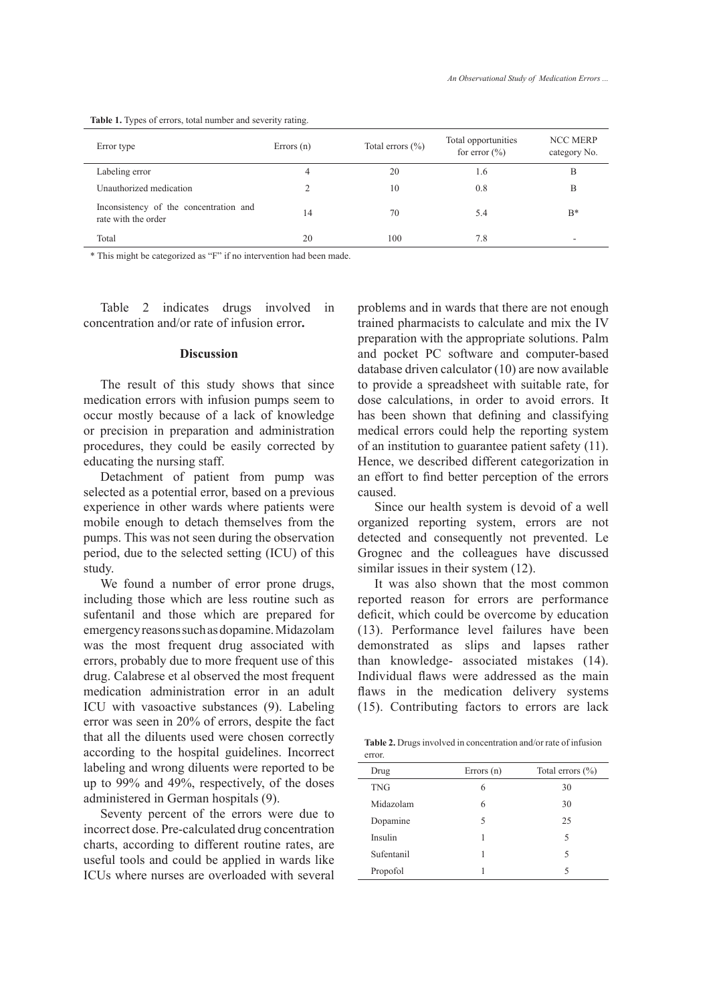#### **Table 1.** Types of errors, total number and severity rating.

| Error type                                                    | Errors $(n)$ | Total errors $(\% )$ | Total opportunities<br>for error $(\% )$ | <b>NCC MERP</b><br>category No. |
|---------------------------------------------------------------|--------------|----------------------|------------------------------------------|---------------------------------|
| Labeling error                                                | 4            | 20                   | 1.6                                      | В                               |
| Unauthorized medication                                       |              | 10                   | 0.8                                      | B                               |
| Inconsistency of the concentration and<br>rate with the order | 14           | 70                   | 5.4                                      | $B^*$                           |
| Total                                                         | 20           | 100                  | 7.8                                      |                                 |

\* This might be categorized as "F" if no intervention had been made.

Table 2 indicates drugs involved in concentration and/or rate of infusion error**.**

#### **Discussion**

The result of this study shows that since medication errors with infusion pumps seem to occur mostly because of a lack of knowledge or precision in preparation and administration procedures, they could be easily corrected by educating the nursing staff.

Detachment of patient from pump was selected as a potential error, based on a previous experience in other wards where patients were mobile enough to detach themselves from the pumps. This was not seen during the observation period, due to the selected setting (ICU) of this study.

We found a number of error prone drugs, including those which are less routine such as sufentanil and those which are prepared for emergency reasons such as dopamine. Midazolam was the most frequent drug associated with errors, probably due to more frequent use of this drug. Calabrese et al observed the most frequent medication administration error in an adult ICU with vasoactive substances (9). Labeling error was seen in 20% of errors, despite the fact that all the diluents used were chosen correctly according to the hospital guidelines. Incorrect labeling and wrong diluents were reported to be up to 99% and 49%, respectively, of the doses administered in German hospitals (9).

Seventy percent of the errors were due to incorrect dose. Pre-calculated drug concentration charts, according to different routine rates, are useful tools and could be applied in wards like ICUs where nurses are overloaded with several problems and in wards that there are not enough trained pharmacists to calculate and mix the IV preparation with the appropriate solutions. Palm and pocket PC software and computer-based database driven calculator (10) are now available to provide a spreadsheet with suitable rate, for dose calculations, in order to avoid errors. It has been shown that defining and classifying medical errors could help the reporting system of an institution to guarantee patient safety (11). Hence, we described different categorization in an effort to find better perception of the errors caused.

Since our health system is devoid of a well organized reporting system, errors are not detected and consequently not prevented. Le Grognec and the colleagues have discussed similar issues in their system  $(12)$ .

It was also shown that the most common reported reason for errors are performance deficit, which could be overcome by education (13). Performance level failures have been demonstrated as slips and lapses rather than knowledge- associated mistakes (14). Individual flaws were addressed as the main flaws in the medication delivery systems (15). Contributing factors to errors are lack

**Table 2.** Drugs involved in concentration and/or rate of infusion error.

| Drug       | Errors $(n)$ | Total errors $(\% )$ |
|------------|--------------|----------------------|
| <b>TNG</b> | 6            | 30                   |
| Midazolam  | 6            | 30                   |
| Dopamine   | 5            | 25                   |
| Insulin    |              | 5                    |
| Sufentanil |              | 5                    |
| Propofol   |              | 5                    |
|            |              |                      |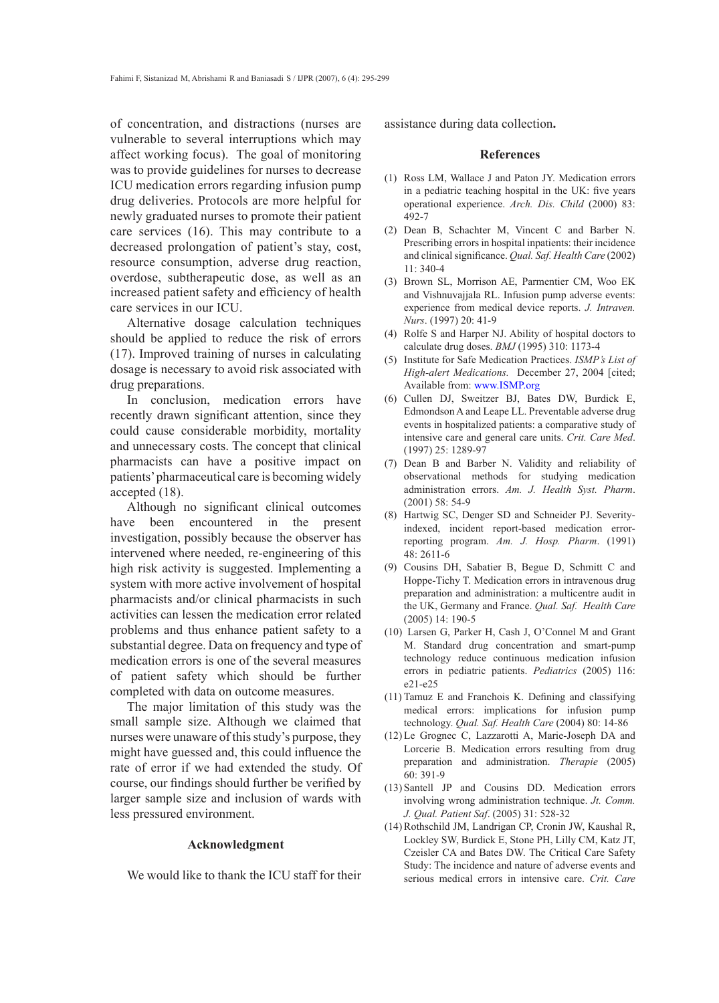of concentration, and distractions (nurses are vulnerable to several interruptions which may affect working focus). The goal of monitoring was to provide guidelines for nurses to decrease ICU medication errors regarding infusion pump drug deliveries. Protocols are more helpful for newly graduated nurses to promote their patient care services (16). This may contribute to a decreased prolongation of patient's stay, cost, resource consumption, adverse drug reaction, overdose, subtherapeutic dose, as well as an increased patient safety and efficiency of health care services in our ICU.

Alternative dosage calculation techniques should be applied to reduce the risk of errors (17). Improved training of nurses in calculating dosage is necessary to avoid risk associated with drug preparations.

In conclusion, medication errors have recently drawn significant attention, since they could cause considerable morbidity, mortality and unnecessary costs. The concept that clinical pharmacists can have a positive impact on patients' pharmaceutical care is becoming widely accepted (18).

Although no significant clinical outcomes have been encountered in the present investigation, possibly because the observer has intervened where needed, re-engineering of this high risk activity is suggested. Implementing a system with more active involvement of hospital pharmacists and/or clinical pharmacists in such activities can lessen the medication error related problems and thus enhance patient safety to a substantial degree. Data on frequency and type of medication errors is one of the several measures of patient safety which should be further completed with data on outcome measures.

The major limitation of this study was the small sample size. Although we claimed that nurses were unaware of this study's purpose, they might have guessed and, this could influence the rate of error if we had extended the study. Of course, our findings should further be verified by larger sample size and inclusion of wards with less pressured environment.

# **Acknowledgment**

We would like to thank the ICU staff for their

assistance during data collection**.**

# **References**

- (1) Ross LM, Wallace J and Paton JY. Medication errors in a pediatric teaching hospital in the UK: five years operational experience. *Arch. Dis. Child* (2000) 83: 492-7
- (2) Dean B, Schachter M, Vincent C and Barber N. Prescribing errors in hospital inpatients: their incidence and clinical significance. *Qual. Saf. Health Care* (2002)  $11 \cdot 340 - 4$
- (3) Brown SL, Morrison AE, Parmentier CM, Woo EK and Vishnuvajjala RL. Infusion pump adverse events: experience from medical device reports. *J. Intraven. Nurs*. (1997) 20: 41-9
- (4) Rolfe S and Harper NJ. Ability of hospital doctors to calculate drug doses. *BMJ* (1995) 310: 1173-4
- Institute for Safe Medication Practices. *ISMP's List of*  (5) *High-alert Medications.* December 27, 2004 [cited; Available from: www.ISMP.org
- Cullen DJ, Sweitzer BJ, Bates DW, Burdick E, (6) Edmondson A and Leape LL. Preventable adverse drug events in hospitalized patients: a comparative study of intensive care and general care units. *Crit. Care Med*. (1997) 25: 1289-97
- (7) Dean B and Barber N. Validity and reliability of observational methods for studying medication administration errors. *Am. J. Health Syst. Pharm*. (2001) 58: 54-9
- Hartwig SC, Denger SD and Schneider PJ. Severity-(8) indexed, incident report-based medication errorreporting program. *Am. J. Hosp. Pharm*. (1991) 48: 2611-6
- Cousins DH, Sabatier B, Begue D, Schmitt C and (9) Hoppe-Tichy T. Medication errors in intravenous drug preparation and administration: a multicentre audit in the UK, Germany and France. *Qual. Saf. Health Care* (2005) 14: 190-5
- Larsen G, Parker H, Cash J, O'Connel M and Grant (10) M. Standard drug concentration and smart-pump technology reduce continuous medication infusion errors in pediatric patients. *Pediatrics* (2005) 116: e21-e25
- $(11)$  Tamuz E and Franchois K. Defining and classifying medical errors: implications for infusion pump technology. *Qual. Saf. Health Care* (2004) 80: 14-86
- (12) Le Grognec C, Lazzarotti A, Marie-Joseph DA and Lorcerie B. Medication errors resulting from drug preparation and administration. *Therapie* (2005) 60: 391-9
- Santell JP and Cousins DD. Medication errors (13) involving wrong administration technique. *Jt. Comm. J. Qual. Patient Saf*. (2005) 31: 528-32
- (14) Rothschild JM, Landrigan CP, Cronin JW, Kaushal R, Lockley SW, Burdick E, Stone PH, Lilly CM, Katz JT, Czeisler CA and Bates DW. The Critical Care Safety Study: The incidence and nature of adverse events and serious medical errors in intensive care. *Crit. Care*